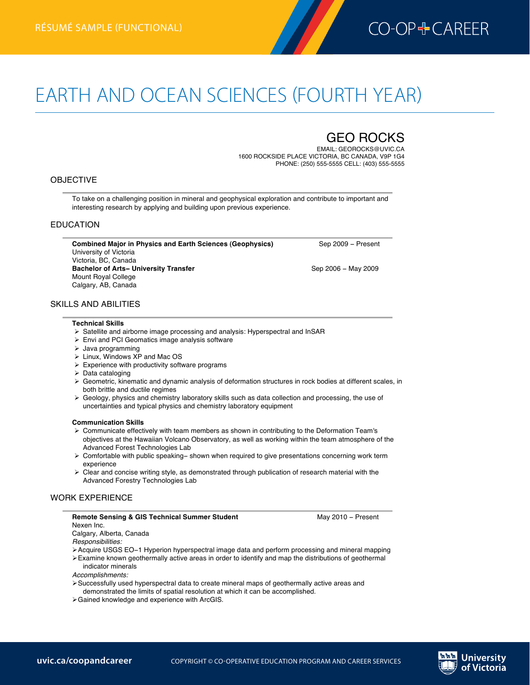

# EARTH AND OCEAN SCIENCES (FOURTH YEAR)

# GEO ROCKS

EMAIL: GEOROCKS@UVIC.CA 1600 ROCKSIDE PLACE VICTORIA, BC CANADA, V9P 1G4 PHONE: (250) 555-5555 CELL: (403) 555-5555

#### OBJECTIVE

**Earth and Ocean Sciences résumé (fourth year)—functional**

To take on a challenging position in mineral and geophysical exploration and contribute to important and interesting research by applying and building upon previous experience.

#### EDUCATION

Combined Major in Physics and Earth Sciences (Geophysics) Sep 2009 − Present University of Victoria Victoria, BC, Canada **Bachelor of Arts– University Transfer 
Sep 2006 − May 2009** Mount Royal College Calgary, AB, Canada

#### SKILLS AND ABILITIES

#### **Technical Skills**

- Ø Satellite and airborne image processing and analysis: Hyperspectral and InSAR
- $\triangleright$  Envi and PCI Geomatics image analysis software
- $\triangleright$  Java programming
- $\triangleright$  Linux, Windows XP and Mac OS
- $\triangleright$  Experience with productivity software programs
- $\triangleright$  Data cataloging
- Ø Geometric, kinematic and dynamic analysis of deformation structures in rock bodies at different scales, in both brittle and ductile regimes
- $\triangleright$  Geology, physics and chemistry laboratory skills such as data collection and processing, the use of uncertainties and typical physics and chemistry laboratory equipment

#### **Communication Skills**

- $\triangleright$  Communicate effectively with team members as shown in contributing to the Deformation Team's objectives at the Hawaiian Volcano Observatory, as well as working within the team atmosphere of the Advanced Forest Technologies Lab
- Ø Comfortable with public speaking− shown when required to give presentations concerning work term experience
- $\triangleright$  Clear and concise writing style, as demonstrated through publication of research material with the Advanced Forestry Technologies Lab

#### WORK EXPERIENCE

| <b>Remote Sensing &amp; GIS Technical Summer Student</b><br>Nexen Inc.                                                                                                                                                                                 | May 2010 - Present |
|--------------------------------------------------------------------------------------------------------------------------------------------------------------------------------------------------------------------------------------------------------|--------------------|
| Calgary, Alberta, Canada<br>Responsibilities:                                                                                                                                                                                                          |                    |
| ≻ Acquire USGS EO-1 Hyperion hyperspectral image data and perform processing and mineral mapping<br>$\triangleright$ Examine known geothermally active areas in order to identify and map the distributions of geothermal<br>indicator minerals        |                    |
| Accomplishments:<br>≻ Successfully used hyperspectral data to create mineral maps of geothermally active areas and<br>demonstrated the limits of spatial resolution at which it can be accomplished.<br>> Gained knowledge and experience with ArcGIS. |                    |
|                                                                                                                                                                                                                                                        |                    |

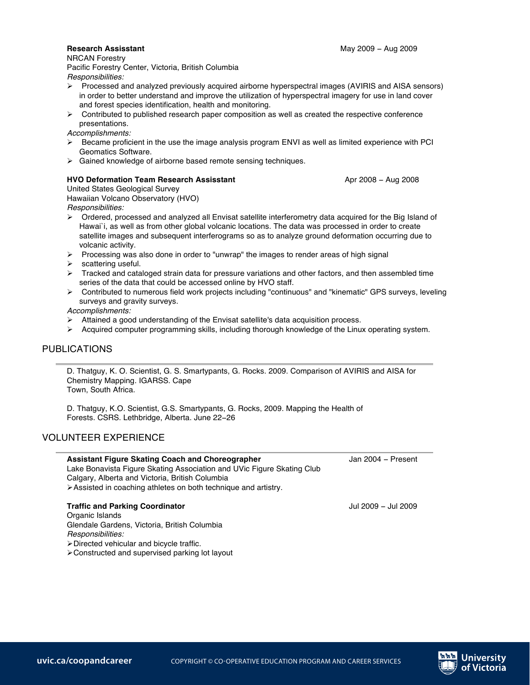#### **Research Assisstant** May 2009 − Aug 2009

NRCAN Forestry

Pacific Forestry Center, Victoria, British Columbia

*Responsibilities:*

- $\triangleright$  Processed and analyzed previously acquired airborne hyperspectral images (AVIRIS and AISA sensors) in order to better understand and improve the utilization of hyperspectral imagery for use in land cover and forest species identification, health and monitoring.
- $\triangleright$  Contributed to published research paper composition as well as created the respective conference presentations.

*Accomplishments:*

- $\triangleright$  Became proficient in the use the image analysis program ENVI as well as limited experience with PCI Geomatics Software.
- $\triangleright$  Gained knowledge of airborne based remote sensing techniques.

#### **HVO Deformation Team Research Assisstant Apr 2008 − Aug 2008**

United States Geological Survey Hawaiian Volcano Observatory (HVO) *Responsibilities:*

- $\triangleright$  Ordered, processed and analyzed all Envisat satellite interferometry data acquired for the Big Island of Hawai`i, as well as from other global volcanic locations. The data was processed in order to create satellite images and subsequent interferograms so as to analyze ground deformation occurring due to volcanic activity.
- $\triangleright$  Processing was also done in order to "unwrap" the images to render areas of high signal
- $\triangleright$  scattering useful.
- Ø Tracked and cataloged strain data for pressure variations and other factors, and then assembled time series of the data that could be accessed online by HVO staff.
- $\triangleright$  Contributed to numerous field work projects including "continuous" and "kinematic" GPS surveys, leveling surveys and gravity surveys.

*Accomplishments:*

- $\triangleright$  Attained a good understanding of the Envisat satellite's data acquisition process.
- $\triangleright$  Acquired computer programming skills, including thorough knowledge of the Linux operating system.

### PUBLICATIONS

D. Thatguy, K. O. Scientist, G. S. Smartypants, G. Rocks. 2009. Comparison of AVIRIS and AISA for Chemistry Mapping. IGARSS. Cape Town, South Africa.

D. Thatguy, K.O. Scientist, G.S. Smartypants, G. Rocks, 2009. Mapping the Health of Forests. CSRS. Lethbridge, Alberta. June 22−26

# VOLUNTEER EXPERIENCE

# **Assistant Figure Skating Coach and Choreographer** Jan 2004 − Present Lake Bonavista Figure Skating Association and UVic Figure Skating Club Calgary, Alberta and Victoria, British Columbia ØAssisted in coaching athletes on both technique and artistry. **Traffic and Parking Coordinator** Jul 2009 − Jul 2009

Organic Islands Glendale Gardens, Victoria, British Columbia *Responsibilities:*  $\triangleright$  Directed vehicular and bicycle traffic.

ØConstructed and supervised parking lot layout



2